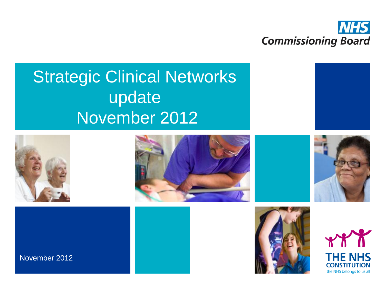

# Strategic Clinical Networks update November 2012













November 2012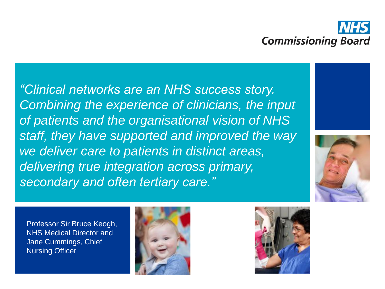

*"Clinical networks are an NHS success story. Combining the experience of clinicians, the input of patients and the organisational vision of NHS staff, they have supported and improved the way we deliver care to patients in distinct areas, delivering true integration across primary, secondary and often tertiary care."*





Professor Sir Bruce Keogh, NHS Medical Director and Jane Cummings, Chief Nursing Officer



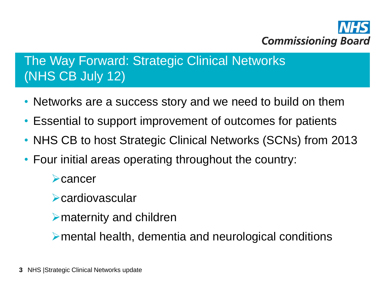

## The Way Forward: Strategic Clinical Networks (NHS CB July 12)

- Networks are a success story and we need to build on them
- Essential to support improvement of outcomes for patients
- NHS CB to host Strategic Clinical Networks (SCNs) from 2013
- Four initial areas operating throughout the country:

**Example** 

**Example 2 Second Second Second Second Second Second Second Second Second Second Second Second Second Second Second Second Second Second Second Second Second Second Second Second Second Second Second Second Second Second S** 

 $\triangleright$  maternity and children

mental health, dementia and neurological conditions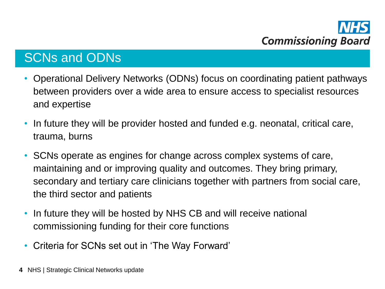### SCNs and ODNs

- Operational Delivery Networks (ODNs) focus on coordinating patient pathways between providers over a wide area to ensure access to specialist resources and expertise
- In future they will be provider hosted and funded e.g. neonatal, critical care, trauma, burns
- SCNs operate as engines for change across complex systems of care, maintaining and or improving quality and outcomes. They bring primary, secondary and tertiary care clinicians together with partners from social care, the third sector and patients
- In future they will be hosted by NHS CB and will receive national commissioning funding for their core functions
- Criteria for SCNs set out in 'The Way Forward'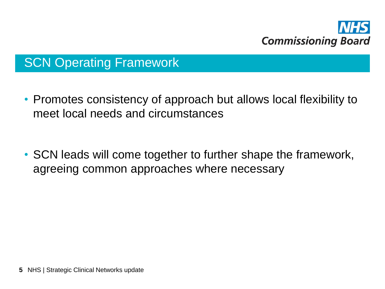

## SCN Operating Framework

- Promotes consistency of approach but allows local flexibility to meet local needs and circumstances
- SCN leads will come together to further shape the framework, agreeing common approaches where necessary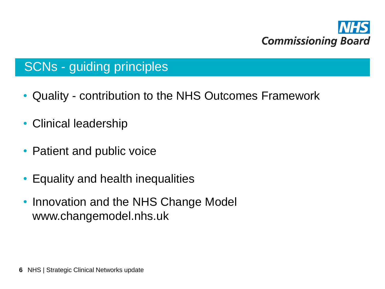

## SCNs - guiding principles

- Quality contribution to the NHS Outcomes Framework
- Clinical leadership
- Patient and public voice
- Equality and health inequalities
- Innovation and the NHS Change Model www.changemodel.nhs.uk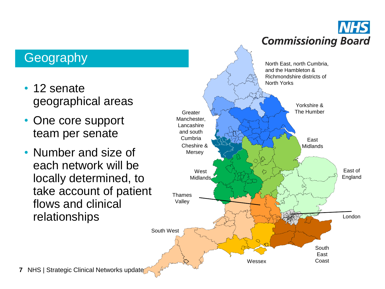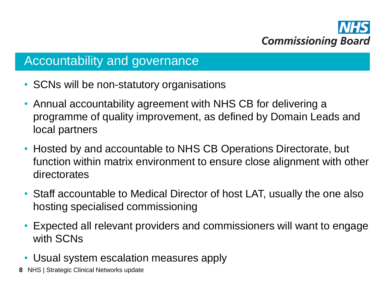

#### Accountability and governance

- SCNs will be non-statutory organisations
- Annual accountability agreement with NHS CB for delivering a programme of quality improvement, as defined by Domain Leads and local partners
- Hosted by and accountable to NHS CB Operations Directorate, but function within matrix environment to ensure close alignment with other directorates
- Staff accountable to Medical Director of host LAT, usually the one also hosting specialised commissioning
- Expected all relevant providers and commissioners will want to engage with SCNs
- Usual system escalation measures apply
- **8** NHS | Strategic Clinical Networks update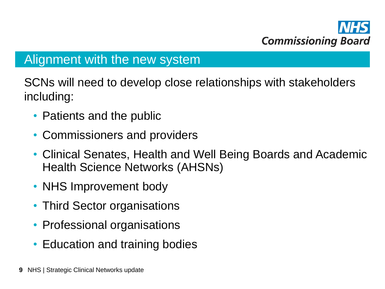

#### Alignment with the new system

SCNs will need to develop close relationships with stakeholders including:

- Patients and the public
- Commissioners and providers
- Clinical Senates, Health and Well Being Boards and Academic Health Science Networks (AHSNs)
- NHS Improvement body
- Third Sector organisations
- Professional organisations
- Education and training bodies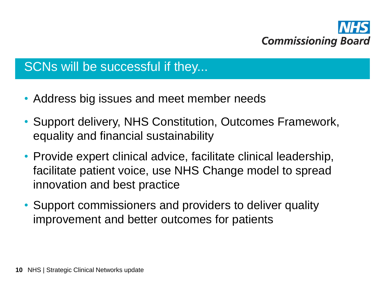

#### SCNs will be successful if they...

- Address big issues and meet member needs
- Support delivery, NHS Constitution, Outcomes Framework, equality and financial sustainability
- Provide expert clinical advice, facilitate clinical leadership, facilitate patient voice, use NHS Change model to spread innovation and best practice
- Support commissioners and providers to deliver quality improvement and better outcomes for patients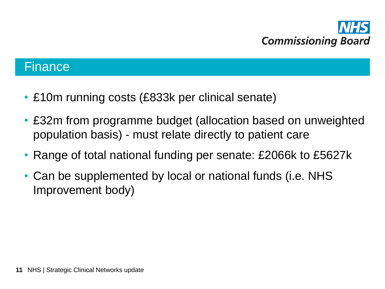

#### **Finance**

- £10m running costs (£833k per clinical senate)
- £32m from programme budget (allocation based on unweighted population basis) - must relate directly to patient care
- Range of total national funding per senate: £2066k to £5627k
- Can be supplemented by local or national funds (i.e. NHS Improvement body)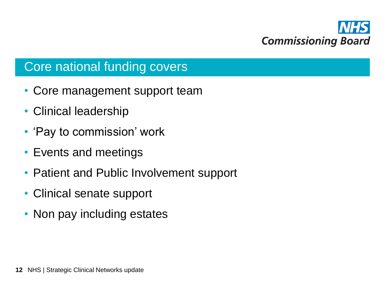

#### Core national funding covers

- Core management support team
- Clinical leadership
- 'Pay to commission' work
- Events and meetings
- Patient and Public Involvement support
- Clinical senate support
- Non pay including estates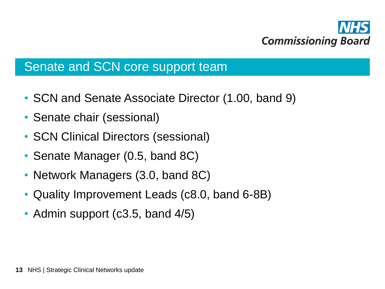

#### Senate and SCN core support team

- SCN and Senate Associate Director (1.00, band 9)
- Senate chair (sessional)
- SCN Clinical Directors (sessional)
- Senate Manager (0.5, band 8C)
- Network Managers (3.0, band 8C)
- Quality Improvement Leads (c8.0, band 6-8B)
- Admin support (c3.5, band 4/5)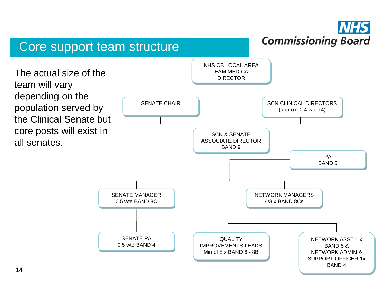#### **NHS Commissioning Board**

#### Core support team structure

NHS CB LOCAL AREA TEAM MEDICAL The actual size of the **EXAMPLE SECTOR** TEAM MEDIC. team will vary depending on the population served by the Clinical Senate but core posts will exist in all senates. SCN CLINICAL DIRECTORS (approx. 0.4 wte x4) SENATE CHAIR SCN & SENATE ASSOCIATE DIRECTOR BAND 9 PA BAND 5 SENATE MANAGER 0.5 wte BAND 8C NETWORK MANAGERS 4/3 x BAND 8Cs SENATE PA 0.5 wte BAND 4 NETWORK ASST 1 x BAND 5 & NETWORK ADMIN & SUPPORT OFFICER 1x BAND 4 QUALITY IMPROVEMENTS LEADS Min of 8 x BAND 6 - 8B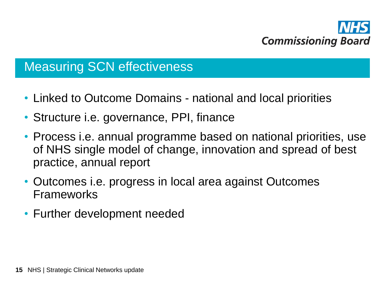

## Measuring SCN effectiveness

- Linked to Outcome Domains national and local priorities
- Structure i.e. governance, PPI, finance
- Process i.e. annual programme based on national priorities, use of NHS single model of change, innovation and spread of best practice, annual report
- Outcomes i.e. progress in local area against Outcomes Frameworks
- Further development needed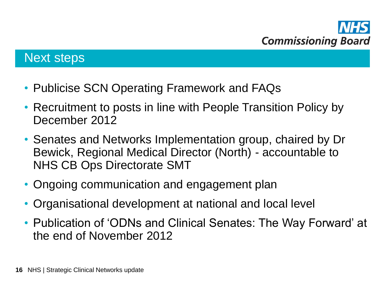

#### Next steps

- Publicise SCN Operating Framework and FAQs
- Recruitment to posts in line with People Transition Policy by December 2012
- Senates and Networks Implementation group, chaired by Dr Bewick, Regional Medical Director (North) - accountable to NHS CB Ops Directorate SMT
- Ongoing communication and engagement plan
- Organisational development at national and local level
- Publication of 'ODNs and Clinical Senates: The Way Forward' at the end of November 2012